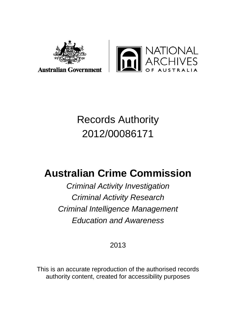



# Records Authority 2012/00086171

# **Australian Crime Commission**

*Criminal Activity Investigation Criminal Activity Research Criminal Intelligence Management Education and Awareness*

# 2013

This is an accurate reproduction of the authorised records authority content, created for accessibility purposes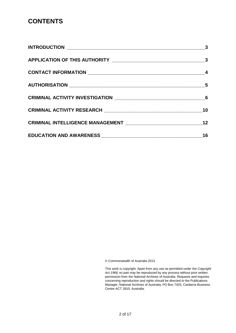#### **CONTENTS**

| $\overline{\mathbf{3}}$ |
|-------------------------|
|                         |
|                         |
|                         |
|                         |
| 10                      |
| 12                      |
| 16                      |

© Commonwealth of Australia 2013

This work is copyright. Apart from any use as permitted under the *Copyright Act 1968,* no part may be reproduced by any process without prior written permission from the National Archives of Australia. Requests and inquiries concerning reproduction and rights should be directed to the Publications Manager, National Archives of Australia, PO Box 7425, Canberra Business Centre ACT 2610, Australia.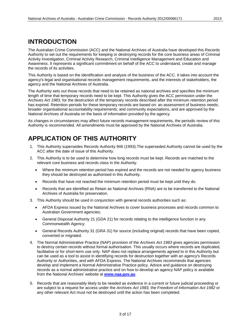#### <span id="page-2-0"></span>**INTRODUCTION**

The Australian Crime Commission (ACC) and the National Archives of Australia have developed this Records Authority to set out the requirements for keeping or destroying records for the core business areas of Criminal Activity Investigation, Criminal Activity Research, Criminal Intelligence Management and Education and Awareness. It represents a significant commitment on behalf of the ACC to understand, create and manage the records of its activities.

This Authority is based on the identification and analysis of the business of the ACC. It takes into account the agency's legal and organisational records management requirements, and the interests of stakeholders, the agency and the National Archives of Australia.

The Authority sets out those records that need to be retained as national archives and specifies the minimum length of time that temporary records need to be kept. This Authority gives the ACC permission under the *Archives Act 1983*, for the destruction of the temporary records described after the minimum retention period has expired. Retention periods for these temporary records are based on: an assessment of business needs; broader organisational accountability requirements; and community expectations, and are approved by the National Archives of Australia on the basis of information provided by the agency.

As changes in circumstances may affect future records management requirements, the periodic review of this Authority is recommended. All amendments must be approved by the National Archives of Australia.

## <span id="page-2-1"></span>**APPLICATION OF THIS AUTHORITY**

- 1. This Authority supersedes Records Authority 946 (1993).The superseded Authority cannot be used by the ACC after the date of issue of this Authority.
- 2. This Authority is to be used to determine how long records must be kept. Records are matched to the relevant core business and records class in the Authority.
	- Where the minimum retention period has expired and the records are not needed for agency business they should be destroyed as authorised in this Authority.
	- Records that have not reached the minimum retention period must be kept until they do.
	- Records that are identified as Retain as National Archives (RNA) are to be transferred to the National Archives of Australia for preservation.
- 3. This Authority should be used in conjunction with general records authorities such as:
	- AFDA Express issued by the National Archives to cover business processes and records common to Australian Government agencies;
	- General Disposal Authority 21 (GDA 21) for records relating to the intelligence function in any Commonwealth Agency;
	- General Records Authority 31 (GRA 31) for source (including original) records that have been copied, converted or migrated.
- 4. The Normal Administrative Practice (NAP) provision of the *Archives Act 1983* gives agencies permission to destroy certain records without formal authorisation. This usually occurs where records are duplicated, facilitative or for short-term use only. NAP does not replace arrangements agreed to in this Authority but can be used as a tool to assist in identifying records for destruction together with an agency's Records Authority or Authorities, and with AFDA Express. The National Archives recommends that agencies develop and implement a Normal Administrative Practice policy. Advice and guidance on destroying records as a normal administrative practice and on how to develop an agency NAP policy is available from the National Archives' website at **[www.naa.gov.au](http://www.naa.gov.au/)**.
- 5. Records that are reasonably likely to be needed as evidence in a current or future judicial proceeding or are subject to a request for access under the *Archives Act 1983,* the *Freedom of Information Act 1982* or any other relevant Act must not be destroyed until the action has been completed.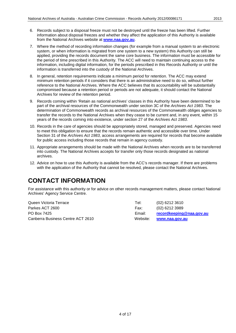- 6. Records subject to a disposal freeze must not be destroyed until the freeze has been lifted. Further information about disposal freezes and whether they affect the application of this Authority is available from the National Archives website at **[www.naa.gov.au](http://www.naa.gov.au/)**.
- 7. Where the method of recording information changes (for example from a manual system to an electronic system, or when information is migrated from one system to a new system) this Authority can still be applied, providing the records document the same core business. The information must be accessible for the period of time prescribed in this Authority. The ACC will need to maintain continuing access to the information, including digital information, for the periods prescribed in this Records Authority or until the information is transferred into the custody of the National Archives.
- 8. In general, retention requirements indicate a minimum period for retention. The ACC may extend minimum retention periods if it considers that there is an administrative need to do so, without further reference to the National Archives. Where the ACC believes that its accountability will be substantially compromised because a retention period or periods are not adequate, it should contact the National Archives for review of the retention period.
- 9. Records coming within 'Retain as national archives' classes in this Authority have been determined to be part of the archival resources of the Commonwealth under section 3C of the *Archives Act 1983*. The determination of Commonwealth records as archival resources of the Commonwealth obliges agencies to transfer the records to the National Archives when they cease to be current and, in any event, within 15 years of the records coming into existence, under section 27 of the *Archives Act 1983*.
- 10. Records in the care of agencies should be appropriately stored, managed and preserved. Agencies need to meet this obligation to ensure that the records remain authentic and accessible over time. Under Section 31 of the *Archives Act 1983*, access arrangements are required for records that become available for public access including those records that remain in agency custody.
- 11. Appropriate arrangements should be made with the National Archives when records are to be transferred into custody. The National Archives accepts for transfer only those records designated as national archives.
- 12. Advice on how to use this Authority is available from the ACC's records manager. If there are problems with the application of the Authority that cannot be resolved, please contact the National Archives.

#### <span id="page-3-0"></span>**CONTACT INFORMATION**

For assistance with this authority or for advice on other records management matters, please contact National Archives' Agency Service Centre.

Queen Victoria Terrace Tel: (02) 6212 3610 Parkes ACT 2600 Farkes ACT 2600 Fax: (02) 6212 3989 PO Box 7425 Email: **[recordkeeping@naa.gov.au](mailto:recordkeeping@naa.gov.au)** Canberra Business Centre ACT 2610 Website: **[www.naa.gov.au](http://www.naa.gov.au/)**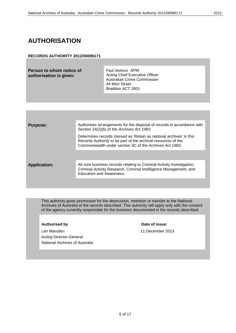## <span id="page-4-0"></span>**AUTHORISATION**

#### **RECORDS AUTHORITY 2012/00086171**

**Person to whom notice of authorisation is given:**

Paul Jevtovic APM Acting Chief Executive Officer Australian Crime Commission 44 Mort Street Braddon ACT 2601

| <b>Purpose:</b>     | Authorises arrangements for the disposal of records in accordance with<br>Section 24(2)(b) of the Archives Act 1983                                                                             |
|---------------------|-------------------------------------------------------------------------------------------------------------------------------------------------------------------------------------------------|
|                     | Determines records classed as 'Retain as national archives' in this<br>Records Authority to be part of the archival resources of the<br>Commonwealth under section 3C of the Archives Act 1983. |
|                     |                                                                                                                                                                                                 |
| <b>Application:</b> | All core business records relating to Criminal Activity Investigation,<br>Criminal Activity Research, Criminal Intelligence Management, and<br>Education and Awareness.                         |
|                     |                                                                                                                                                                                                 |

This authority gives permission for the destruction, retention or transfer to the National Archives of Australia of the records described. This authority will apply only with the consent of the agency currently responsible for the business documented in the records described.

#### Authorised by **Date of issue:**

Len Marsden 11 December 2013 Acting Director-General National Archives of Australia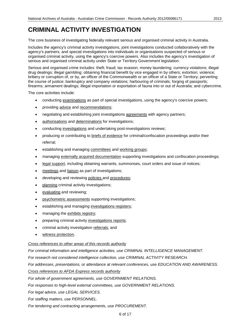<span id="page-5-0"></span>The core business of investigating federally relevant serious and organised criminal activity in Australia.

Includes the agency's criminal activity investigations, joint investigations conducted collaboratively with the agency's partners, and special investigations into individuals or organisations suspected of serious or organised criminal activity, using the agency's coercive powers. Also includes the agency's investigation of serious and organised criminal activity under State or Territory Government legislation.

Serious and organised crime includes: theft; fraud; tax evasion; money laundering; currency violations; illegal drug dealings; illegal gambling; obtaining financial benefit by vice engaged in by others; extortion; violence; bribery or corruption of, or by, an officer of the Commonwealth or an officer of a State or Territory; perverting the course of justice; bankruptcy and company violations; harbouring of criminals; forging of passports; firearms; armament dealings; illegal importation or exportation of fauna into or out of Australia; and cybercrime.

The core activities include:

- conducting examinations as part of special investigations, using the agency's coercive powers;
- providing advice and recommendations;
- negotiating and establishing joint investigations agreements with agency partners;
- authorisations and determinations for investigations;
- conducting investigations and undertaking post-investigations reviews;
- producing or contributing to briefs of evidence for criminal/confiscation proceedings and/or their referral;
- establishing and managing committees and working groups;
- managing externally acquired documentation supporting investigations and confiscation proceedings;
- legal support, including obtaining warrants, summonses, court orders and issue of notices;
- meetings and liaison as part of investigations;
- developing and reviewing policies and procedures;
- planning criminal activity investigations;
- evaluating and reviewing;
- psychometric assessments supporting investigations;
- establishing and managing investigations registers;
- managing the exhibits registry;
- preparing criminal activity investigations reports;
- criminal activity investigation referrals; and
- witness protection.

#### *Cross references to other areas of this records authority*

*For criminal information and intelligence activities, use CRIMINAL INTELLIGENCE MANAGEMENT.*

*For research not considered intelligence collection, use CRIMINAL ACTIVITY RESEARCH.*

*For addresses, presentations, or attendance at relevant conferences, use EDUCATION AND AWARENESS.*

*Cross references to AFDA Express records authority*

*For whole of government agreements, use GOVERNMENT RELATIONS.*

*For responses to high-level external committees, use GOVERNMENT RELATIONS.*

*For legal advice, use LEGAL SERVICES.*

*For staffing matters, use PERSONNEL.* 

*For tendering and contracting arrangements, use PROCUREMENT.*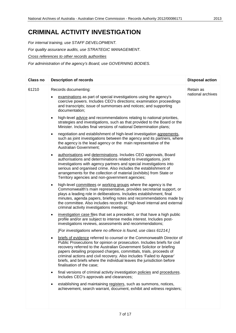*For internal training, use STAFF DEVELOPMENT. For quality assurance audits, use STRATEGIC MANAGEMENT. Cross references to other records authorities For administration of the agency's Board, use GOVERNING BODIES.*

| <b>Class no</b> | <b>Description of records</b>                                                                                                                                                                                                                                                                                                                                                                                                                                                          | <b>Disposal action</b>         |
|-----------------|----------------------------------------------------------------------------------------------------------------------------------------------------------------------------------------------------------------------------------------------------------------------------------------------------------------------------------------------------------------------------------------------------------------------------------------------------------------------------------------|--------------------------------|
| 61210           | Records documenting:<br>examinations as part of special investigations using the agency's<br>coercive powers. Includes CEO's directions; examination proceedings<br>and transcripts; issue of summonses and notices; and supporting<br>documentation;                                                                                                                                                                                                                                  | Retain as<br>national archives |
|                 | high-level advice and recommendations relating to national priorities,<br>$\bullet$<br>strategies and investigations, such as that provided to the Board or the<br>Minister. Includes final versions of national Determination plans;                                                                                                                                                                                                                                                  |                                |
|                 | negotiation and establishment of high-level investigation agreements,<br>$\bullet$<br>such as joint investigations between the agency and its partners, where<br>the agency is the lead agency or the main representative of the<br><b>Australian Government;</b>                                                                                                                                                                                                                      |                                |
|                 | authorisations and determinations. Includes CEO approvals, Board<br>٠<br>authorisations and determinations related to investigations, joint<br>investigations with agency partners and special investigations into<br>serious and organised crime. Also includes the establishment of<br>arrangements for the collection of material (exhibits) from State or<br>Territory agencies and non-government agencies;                                                                       |                                |
|                 | high-level committees or working groups where the agency is the<br>$\bullet$<br>Commonwealth's main representative, provides secretariat support, or<br>plays a leading role in deliberations. Includes establishment, final<br>minutes, agenda papers, briefing notes and recommendations made by<br>the committee. Also includes records of high-level internal and external<br>criminal activity investigations meetings;                                                           |                                |
|                 | investigation case files that set a precedent, or that have a high public<br>$\bullet$<br>profile and/or are subject to intense media interest. Includes post-<br>investigations reviews, assessments and recommendations;                                                                                                                                                                                                                                                             |                                |
|                 | [For investigations where no offence is found, use class 61214.]                                                                                                                                                                                                                                                                                                                                                                                                                       |                                |
|                 | briefs of evidence referred to counsel or the Commonwealth Director of<br>٠<br>Public Prosecutions for opinion or prosecution. Includes briefs for civil<br>recovery referred to the Australian Government Solicitor or briefing<br>papers detailing proposed charges, committals, trials, proceeds of<br>criminal actions and civil recovery. Also includes 'Failed to Appear'<br>briefs, and briefs where the individual leaves the jurisdiction before<br>finalisation of the case; |                                |
|                 | final versions of criminal activity investigation policies and procedures.<br>٠<br>Includes CEO's approvals and clearances;                                                                                                                                                                                                                                                                                                                                                            |                                |
|                 | establishing and maintaining registers, such as summons, notices,<br>achievement, search warrant, document, exhibit and witness registers;                                                                                                                                                                                                                                                                                                                                             |                                |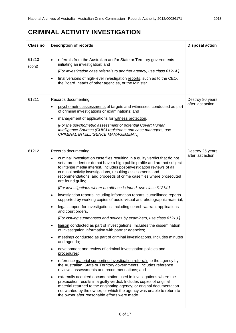| <b>Class no</b> | <b>Description of records</b>                                                                                                                                                                                                                                                                                                                                                                                                                                                                                                                                                                                                                                                                                                                                                                                                                                                                                                                                                                                                                                                                                                                                                                                                                                                                                                                                                                                                                                                                                                                                                                                                                                                                                                                        | <b>Disposal action</b>                |
|-----------------|------------------------------------------------------------------------------------------------------------------------------------------------------------------------------------------------------------------------------------------------------------------------------------------------------------------------------------------------------------------------------------------------------------------------------------------------------------------------------------------------------------------------------------------------------------------------------------------------------------------------------------------------------------------------------------------------------------------------------------------------------------------------------------------------------------------------------------------------------------------------------------------------------------------------------------------------------------------------------------------------------------------------------------------------------------------------------------------------------------------------------------------------------------------------------------------------------------------------------------------------------------------------------------------------------------------------------------------------------------------------------------------------------------------------------------------------------------------------------------------------------------------------------------------------------------------------------------------------------------------------------------------------------------------------------------------------------------------------------------------------------|---------------------------------------|
| 61210<br>(cont) | referrals from the Australian and/or State or Territory governments<br>initiating an investigation; and<br>[For investigation case referrals to another agency, use class 61214.]<br>final versions of high-level investigation reports, such as to the CEO,<br>the Board, heads of other agencies, or the Minister.                                                                                                                                                                                                                                                                                                                                                                                                                                                                                                                                                                                                                                                                                                                                                                                                                                                                                                                                                                                                                                                                                                                                                                                                                                                                                                                                                                                                                                 |                                       |
| 61211           | Records documenting:<br>psychometric assessments of targets and witnesses, conducted as part<br>of criminal investigations or examinations; and<br>management of applications for witness protection.<br>$\bullet$<br>[For the psychometric assessment of potential Covert Human<br>Intelligence Sources (CHIS) registrants and case managers, use<br>CRIMINAL INTELLIGENCE MANAGEMENT.]                                                                                                                                                                                                                                                                                                                                                                                                                                                                                                                                                                                                                                                                                                                                                                                                                                                                                                                                                                                                                                                                                                                                                                                                                                                                                                                                                             | Destroy 80 years<br>after last action |
| 61212           | Records documenting:<br>criminal investigation case files resulting in a guilty verdict that do not<br>٠<br>set a precedent or do not have a high public profile and are not subject<br>to intense media interest. Includes post-investigation reviews of all<br>criminal activity investigations, resulting assessments and<br>recommendations; and proceeds of crime case files where prosecuted<br>are found guilty;<br>[For investigations where no offence is found, use class 61214.]<br>investigation reports including information reports, surveillance reports<br>٠<br>supported by working copies of audio-visual and photographic material;<br>legal support for investigations, including search warrant applications<br>and court orders.<br>[For issuing summonses and notices by examiners, use class 61210.]<br>liaison conducted as part of investigations. Includes the dissemination<br>$\bullet$<br>of investigation information with partner agencies;<br>meetings conducted as part of criminal investigations. Includes minutes<br>$\bullet$<br>and agenda;<br>development and review of criminal investigation policies and<br>$\bullet$<br>procedures;<br>reference material supporting investigation referrals to the agency by<br>$\bullet$<br>the Australian, State or Territory governments. Includes reference<br>reviews, assessments and recommendations; and<br>externally acquired documentation used in investigations where the<br>٠<br>prosecution results in a guilty verdict. Includes copies of original<br>material returned to the originating agency; or original documentation<br>not wanted by the owner, or which the agency was unable to return to<br>the owner after reasonable efforts were made. | Destroy 25 years<br>after last action |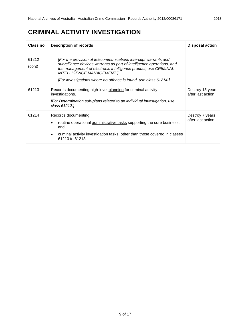| Class no        | <b>Description of records</b>                                                                                                                                                                                                                                                                                       | <b>Disposal action</b>                |
|-----------------|---------------------------------------------------------------------------------------------------------------------------------------------------------------------------------------------------------------------------------------------------------------------------------------------------------------------|---------------------------------------|
| 61212<br>(cont) | [For the provision of telecommunications intercept warrants and<br>surveillance devices warrants as part of intelligence operations, and<br>the management of electronic intelligence product, use CRIMINAL<br><b>INTELLIGENCE MANAGEMENT.]</b><br>[For investigations where no offence is found, use class 61214.] |                                       |
| 61213           | Records documenting high-level planning for criminal activity<br>investigations.<br>[For Determination sub-plans related to an individual investigation, use<br>class 61212.]                                                                                                                                       | Destroy 15 years<br>after last action |
| 61214           | Records documenting:<br>routine operational administrative tasks supporting the core business;<br>٠<br>and<br>criminal activity investigation tasks, other than those covered in classes<br>61210 to 61213.                                                                                                         | Destroy 7 years<br>after last action  |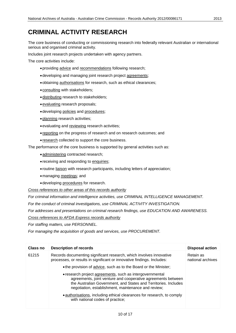#### <span id="page-9-0"></span>**CRIMINAL ACTIVITY RESEARCH**

The core business of conducting or commissioning research into federally relevant Australian or international serious and organised criminal activity.

Includes joint research projects undertaken with agency partners.

The core activities include:

- •providing advice and recommendations following research;
- •developing and managing joint research project agreements;
- •obtaining authorisations for research, such as ethical clearances;
- consulting with stakeholders;
- •distributing research to stakeholders;
- •evaluating research proposals;
- •developing policies and procedures;
- •planning research activities;
- •evaluating and reviewing research activities;
- reporting on the progress of research and on research outcomes; and
- research collected to support the core business.

The performance of the core business is supported by general activities such as:

- •administering contracted research;
- receiving and responding to enquiries;
- routine liaison with research participants, including letters of appreciation;
- •managing meetings; and
- •developing procedures for research.

#### *Cross references to other areas of this records authority*

*For criminal information and intelligence activities, use CRIMINAL INTELLIGENCE MANAGEMENT.*

*For the conduct of criminal investigations, use CRIMINAL ACTIVITY INVESTIGATION.*

*For addresses and presentations on criminal research findings, use EDUCATION AND AWARENESS.*

*Cross references to AFDA Express records authority*

*For staffing matters, use PERSONNEL.* 

*For managing the acquisition of goods and services, use PROCUREMENT.*

| Class no | <b>Description of records</b>                                                                                                                                                                                                                      | <b>Disposal action</b>         |
|----------|----------------------------------------------------------------------------------------------------------------------------------------------------------------------------------------------------------------------------------------------------|--------------------------------|
| 61215    | Records documenting significant research, which involves innovative<br>processes, or results in significant or innovative findings. Includes:                                                                                                      | Retain as<br>national archives |
|          | • the provision of advice, such as to the Board or the Minister;                                                                                                                                                                                   |                                |
|          | • research project agreements, such as intergovernmental<br>agreements, joint venture and cooperative agreements between<br>the Australian Government, and States and Territories. Includes<br>negotiation, establishment, maintenance and review; |                                |
|          | • authorisations, including ethical clearances for research, to comply<br>with national codes of practice;                                                                                                                                         |                                |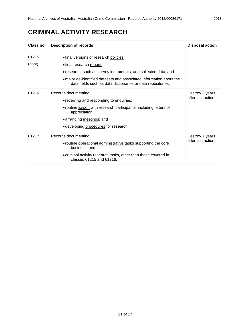#### **CRIMINAL ACTIVITY RESEARCH**

| Class no        | <b>Description of records</b>                                                                                                                                                                                                                                                | <b>Disposal action</b>               |
|-----------------|------------------------------------------------------------------------------------------------------------------------------------------------------------------------------------------------------------------------------------------------------------------------------|--------------------------------------|
| 61215<br>(cont) | • final versions of research policies;<br>• final research reports;<br>• research, such as survey instruments, and collected data; and<br>• major de-identified datasets and associated information about the<br>data fields such as data dictionaries or data repositories. |                                      |
| 61216           | Records documenting:<br>• receiving and responding to enquiries;<br>• routine liaison with research participants, including letters of<br>appreciation;<br>• arranging meetings; and<br>• developing procedures for research.                                                | Destroy 3 years<br>after last action |
| 61217           | Records documenting:<br>• routine operational administrative tasks supporting the core<br>business; and<br>• criminal activity research tasks, other than those covered in<br>classes 61215 and 61216.                                                                       | Destroy 7 years<br>after last action |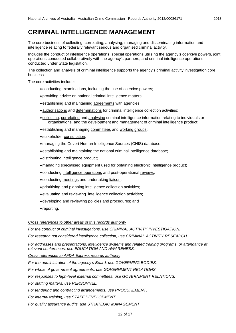#### <span id="page-11-0"></span>**CRIMINAL INTELLIGENCE MANAGEMENT**

The core business of collecting, correlating, analysing, managing and disseminating information and intelligence relating to federally relevant serious and organised criminal activity.

Includes the conduct of intelligence operations, special operations utilising the agency's coercive powers, joint operations conducted collaboratively with the agency's partners, and criminal intelligence operations conducted under State legislation.

The collection and analysis of criminal intelligence supports the agency's criminal activity investigation core business.

The core activities include:

- conducting examinations, including the use of coercive powers;
- •providing advice on national criminal intelligence matters;
- •establishing and maintaining agreements with agencies;
- •authorisations and determinations for criminal intelligence collection activities;
- collecting, correlating and analysing criminal intelligence information relating to individuals or organisations, and the development and management of criminal intelligence product;
- •establishing and managing committees and working groups;
- stakeholder consultation;
- •managing the Covert Human Intelligence Sources (CHIS) database;
- •establishing and maintaining the national criminal intelligence database;
- •distributing intelligence product;
- •managing specialised equipment used for obtaining electronic intelligence product;
- conducting intelligence operations and post-operational reviews;
- conducting meetings and undertaking liaison;
- •prioritising and planning intelligence collection activities;
- •evaluating and reviewing intelligence collection activities;
- •developing and reviewing policies and procedures; and
- reporting.

*Cross references to other areas of this records authority*

*For the conduct of criminal investigations, use CRIMINAL ACTIVITY INVESTIGATION.*

*For research not considered intelligence collection, use CRIMINAL ACTIVITY RESEARCH.*

*For addresses and presentations, intelligence systems and related training programs, or attendance at relevant conferences, use EDUCATION AND AWARENESS.*

*Cross references to AFDA Express records authority*

*For the administration of the agency's Board, use GOVERNING BODIES.*

*For whole of government agreements, use GOVERNMENT RELATIONS.*

*For responses to high-level external committees, use GOVERNMENT RELATIONS.*

*For staffing matters, use PERSONNEL.*

*For tendering and contracting arrangements, use PROCUREMENT.*

*For internal training, use STAFF DEVELOPMENT.*

*For quality assurance audits, use STRATEGIC MANAGEMENT.*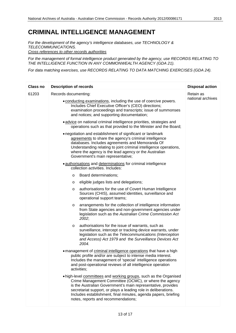*For the development of the agency's intelligence databases, use TECHNOLOGY & TELECOMMUNICATIONS. Cross references to other records authorities*

*For the management of formal intelligence product generated by the agency, use RECORDS RELATING TO THE INTELLIGENCE FUNCTION IN ANY COMMONWEALTH AGENCY (GDA 21).*

*For data matching exercises, use RECORDS RELATING TO DATA MATCHING EXERCISES (GDA 24).*

| Class no | <b>Description of records</b>                                                                                                                                                                                                                                                                                                                                          | <b>Disposal action</b> |
|----------|------------------------------------------------------------------------------------------------------------------------------------------------------------------------------------------------------------------------------------------------------------------------------------------------------------------------------------------------------------------------|------------------------|
| 61203    | Records documenting:                                                                                                                                                                                                                                                                                                                                                   | Retain as              |
|          | • conducting examinations, including the use of coercive powers.<br>Includes Chief Executive Officer's (CEO) directions;<br>examination proceedings and transcripts; issue of summonses<br>and notices; and supporting documentation;                                                                                                                                  | national archives      |
|          | · advice on national criminal intelligence priorities, strategies and<br>operations such as that provided to the Minister and the Board;                                                                                                                                                                                                                               |                        |
|          | • negotiation and establishment of significant or landmark<br>agreements to share the agency's criminal intelligence<br>databases. Includes agreements and Memoranda Of<br>Understanding relating to joint criminal intelligence operations,<br>where the agency is the lead agency or the Australian<br>Government's main representative;                             |                        |
|          | · authorisations and determinations for criminal intelligence<br>collection activities. Includes:                                                                                                                                                                                                                                                                      |                        |
|          | Board determinations;<br>$\circ$                                                                                                                                                                                                                                                                                                                                       |                        |
|          | eligible judges lists and delegations;<br>O                                                                                                                                                                                                                                                                                                                            |                        |
|          | authorisations for the use of Covert Human Intelligence<br>$\circ$<br>Sources (CHIS), assumed identities, surveillance and<br>operational support teams;                                                                                                                                                                                                               |                        |
|          | arrangements for the collection of intelligence information<br>O<br>from State agencies and non-government agencies under<br>legislation such as the Australian Crime Commission Act<br>2002;                                                                                                                                                                          |                        |
|          | authorisations for the issue of warrants, such as<br>$\circ$<br>surveillance, intercept or tracking device warrants, under<br>legislation such as the Telecommunications (Interception<br>and Access) Act 1979 and the Surveillance Devices Act<br>2004.                                                                                                               |                        |
|          | . management of criminal intelligence operations that have a high<br>public profile and/or are subject to intense media interest.<br>Includes the management of 'special' intelligence operations<br>and post-operational reviews of all intelligence operation<br>activities;                                                                                         |                        |
|          | . high-level committees and working groups, such as the Organised<br>Crime Management Committee (OCMC), or where the agency<br>is the Australian Government's main representative, provides<br>secretariat support, or plays a leading role in deliberations.<br>Includes establishment, final minutes, agenda papers, briefing<br>notes, reports and recommendations; |                        |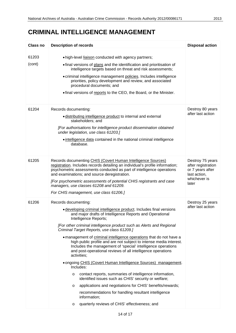#### **CRIMINAL INTELLIGENCE MANAGEMENT**

| Class no        | <b>Description of records</b>                                                                                                                                                                                                                                                                                                                                                                                                                                                                                                                                                                                                                                                                                                                                                                                                                                                                                                                                                                                       | <b>Disposal action</b>                                                                              |
|-----------------|---------------------------------------------------------------------------------------------------------------------------------------------------------------------------------------------------------------------------------------------------------------------------------------------------------------------------------------------------------------------------------------------------------------------------------------------------------------------------------------------------------------------------------------------------------------------------------------------------------------------------------------------------------------------------------------------------------------------------------------------------------------------------------------------------------------------------------------------------------------------------------------------------------------------------------------------------------------------------------------------------------------------|-----------------------------------------------------------------------------------------------------|
| 61203<br>(cont) | .high-level liaison conducted with agency partners;<br>• final versions of plans and the identification and prioritisation of<br>intelligence targets based on threat and risk assessments;<br>• criminal intelligence management policies. Includes intelligence<br>priorities, policy development and review, and associated<br>procedural documents; and<br>• final versions of reports to the CEO, the Board, or the Minister.                                                                                                                                                                                                                                                                                                                                                                                                                                                                                                                                                                                  |                                                                                                     |
| 61204           | Records documenting:<br>· distributing intelligence product to internal and external<br>stakeholders; and<br>[For authorisations for intelligence product dissemination obtained<br>under legislation, use class 61203.]<br>• intelligence data contained in the national criminal intelligence<br>database.                                                                                                                                                                                                                                                                                                                                                                                                                                                                                                                                                                                                                                                                                                        | Destroy 80 years<br>after last action                                                               |
| 61205           | Records documenting CHIS (Covert Human Intelligence Sources)<br>registration. Includes records detailing an individual's profile information;<br>psychometric assessments conducted as part of intelligence operations<br>and examinations; and source deregistration.<br>[For psychometric assessments of potential CHIS registrants and case<br>managers, use classes 61208 and 61209.<br>For CHIS management, use class 61206.]                                                                                                                                                                                                                                                                                                                                                                                                                                                                                                                                                                                  | Destroy 75 years<br>after registration<br>or 7 years after<br>last action,<br>whichever is<br>later |
| 61206           | Records documenting:<br>· developing criminal intelligence product. Includes final versions<br>and major drafts of Intelligence Reports and Operational<br>Intelligence Reports;<br>[For other criminal intelligence product such as Alerts and Regional<br>Criminal Target Reports, use class 61209.]<br>. management of criminal intelligence operations that do not have a<br>high public profile and are not subject to intense media interest.<br>Includes the management of 'special' intelligence operations<br>and post-operational reviews of all intelligence operations<br>activities;<br>• ongoing CHIS (Covert Human Intelligence Sources) management.<br>Includes:<br>contact reports, summaries of intelligence information,<br>$\circ$<br>identified issues such as CHIS' security or welfare;<br>applications and negotiations for CHIS' benefits/rewards;<br>O<br>recommendations for handling resultant intelligence<br>information;<br>quarterly reviews of CHIS' effectiveness; and<br>$\circ$ | Destroy 25 years<br>after last action                                                               |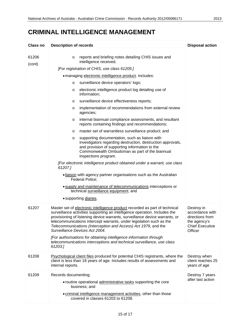#### **CRIMINAL INTELLIGENCE MANAGEMENT**

| Class no        | <b>Description of records</b>                                                                                                                                                                                                                                                                                                                                                                                                                                                                                                                                                                                                                                                                                                                                                                                                                                                                                                                                                                                                                                                                                                                                                                                            | <b>Disposal action</b>                                                                                |
|-----------------|--------------------------------------------------------------------------------------------------------------------------------------------------------------------------------------------------------------------------------------------------------------------------------------------------------------------------------------------------------------------------------------------------------------------------------------------------------------------------------------------------------------------------------------------------------------------------------------------------------------------------------------------------------------------------------------------------------------------------------------------------------------------------------------------------------------------------------------------------------------------------------------------------------------------------------------------------------------------------------------------------------------------------------------------------------------------------------------------------------------------------------------------------------------------------------------------------------------------------|-------------------------------------------------------------------------------------------------------|
| 61206<br>(cont) | reports and briefing notes detailing CHIS issues and<br>$\circ$<br>intelligence received.<br>[For registration of CHIS, use class 61205.]<br>. managing electronic intelligence product. Includes:<br>surveillance device operators' logs;<br>$\circ$<br>electronic intelligence product log detailing use of<br>O<br>information;<br>surveillance device effectiveness reports;<br>O<br>implementation of recommendations from external review<br>O<br>agencies;<br>internal biannual compliance assessments, and resultant<br>O<br>reports containing findings and recommendations;<br>master set of warrantless surveillance product; and<br>O<br>supporting documentation, such as liaison with<br>O<br>investigators regarding destruction, destruction approvals,<br>and provision of supporting information to the<br>Commonwealth Ombudsman as part of the biannual<br>inspections program.<br>[For electronic intelligence product obtained under a warrant, use class<br>61207.]<br>. liaison with agency partner organisations such as the Australian<br>Federal Police;<br>. supply and maintenance of telecommunications interceptions or<br>technical surveillance equipment; and<br>• supporting diaries. |                                                                                                       |
| 61207           | Master set of electronic intelligence product recorded as part of technical<br>surveillance activities supporting an intelligence operation. Includes the<br>provisioning of listening device warrants, surveillance device warrants, or<br>telecommunications intercept warrants, under legislation such as the<br>Telecommunications (Interception and Access) Act 1979, and the<br>Surveillance Devices Act 2004.<br>[For authorisations for obtaining intelligence information through<br>telecommunications interceptions and technical surveillance, use class<br>61203.]                                                                                                                                                                                                                                                                                                                                                                                                                                                                                                                                                                                                                                          | Destroy in<br>accordance with<br>directions from<br>the agency's<br><b>Chief Executive</b><br>Officer |
| 61208           | Psychological client files produced for potential CHIS registrants, where the<br>client is less than 18 years of age. Includes results of assessments and<br>internal reports.                                                                                                                                                                                                                                                                                                                                                                                                                                                                                                                                                                                                                                                                                                                                                                                                                                                                                                                                                                                                                                           | Destroy when<br>client reaches 25<br>years of age                                                     |
| 61209           | Records documenting:<br>• routine operational administrative tasks supporting the core<br>business; and<br>• criminal intelligence management activities, other than those<br>covered in classes 61203 to 61208.                                                                                                                                                                                                                                                                                                                                                                                                                                                                                                                                                                                                                                                                                                                                                                                                                                                                                                                                                                                                         | Destroy 7 years<br>after last action                                                                  |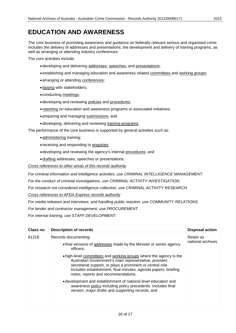#### <span id="page-15-0"></span>**EDUCATION AND AWARENESS**

The core business of promoting awareness and guidance on federally relevant serious and organised crime. Includes the delivery of addresses and presentations, the development and delivery of training programs, as well as arranging or attending industry conferences.

The core activities include:

- •developing and delivering addresses, speeches, and presentations;
- •establishing and managing education and awareness related committees and working groups;
- arranging or attending conferences;
- liaising with stakeholders;
- conducting meetings;
- •developing and reviewing policies and procedures;
- reporting on education and awareness programs or associated initiatives;
- •preparing and managing submissions; and
- •developing, delivering and reviewing training programs.

The performance of the core business is supported by general activities such as:

- administering training;
- receiving and responding to enquiries;
- •developing and reviewing the agency's internal procedures; and
- •drafting addresses, speeches or presentations.

*Cross references to other areas of this records authority*

*For criminal information and intelligence activities, use CRIMINAL INTELLIGENCE MANAGEMENT.*

*For the conduct of criminal investigations, use CRIMINAL ACTIVITY INVESTIGATION.*

*For research not considered intelligence collection, use CRIMINAL ACTIVITY RESEARCH.*

*Cross references to AFDA Express records authority*

*For media releases and interviews, and handling public reaction, use COMMUNITY RELATIONS.*

*For tender and contractor management, use PROCUREMENT.*

*For internal training, use STAFF DEVELOPMENT.*

| Class no | <b>Description of records</b>                                                                                                                                                                                                                                                                      | <b>Disposal action</b>         |
|----------|----------------------------------------------------------------------------------------------------------------------------------------------------------------------------------------------------------------------------------------------------------------------------------------------------|--------------------------------|
| 61218    | Records documenting:<br>• final versions of addresses made by the Minister or senior agency<br>officers;                                                                                                                                                                                           | Retain as<br>national archives |
|          | • high-level committees and working groups where the agency is the<br>Australian Government's main representative, provides<br>secretariat support, or plays a prominent or central role.<br>Includes establishment, final minutes, agenda papers, briefing<br>notes, reports and recommendations. |                                |
|          | • development and establishment of national level education and<br>awareness policy including policy precedents. Includes final<br>version, major drafts and supporting records; and                                                                                                               |                                |